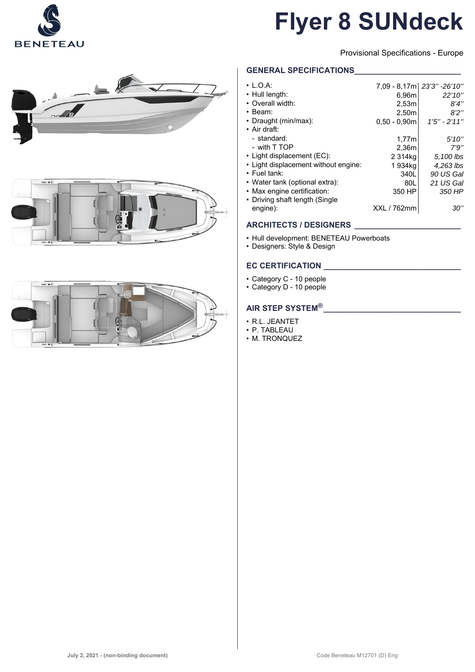

# **Flyer 8 SUNdeck**

Provisional Specifications - Europe

# **GENERAL SPECIFICATIONS\_\_\_\_\_\_\_\_\_\_\_\_\_\_\_\_\_\_\_\_\_\_\_\_**

| $\cdot$ L.O.A:                       |                | 7.09 - 8.17ml 23'3" -26'10" |
|--------------------------------------|----------------|-----------------------------|
| • Hull length:                       | 6,96m          | 22'10"                      |
| • Overall width:                     | 2,53m          | 8'4''                       |
| $\cdot$ Beam:                        | 2,50m          | 8'2''                       |
| • Draught (min/max):                 | $0,50 - 0,90m$ | $1'5'' - 2'11''$            |
| $\cdot$ Air draft:                   |                |                             |
| - standard:                          | 1.77m          | 5'10''                      |
| - with T TOP                         | 2,36m          | 7'9''                       |
| • Light displacement (EC):           | 2 314kg        | 5,100 lbs                   |
| • Light displacement without engine: | 1 934ka        | 4,263 lbs                   |
| $\cdot$ Fuel tank:                   | 340L           | 90 US Gal                   |
| • Water tank (optional extra):       | 80L            | 21 US Gal                   |
| • Max engine certification:          | 350 HP         | 350 HP                      |
| • Driving shaft length (Single       |                |                             |
| engine):                             | XXL / 762mm    | 30"                         |
|                                      |                |                             |

# **ARCHITECTS / DESIGNERS \_\_\_\_\_\_\_\_\_\_\_\_\_\_\_\_\_\_\_\_\_\_\_\_**

- Hull development: BENETEAU Powerboats
- Designers: Style & Design

# **EC CERTIFICATION**

- Category C 10 people
- Category D 10 people

# **AIR STEP SYSTEM®\_\_\_\_\_\_\_\_\_\_\_\_\_\_\_\_\_\_\_\_\_\_\_\_\_\_\_\_\_\_\_**

- R.L. JEANTET
- P. TABLEAU
- M. TRONQUEZ





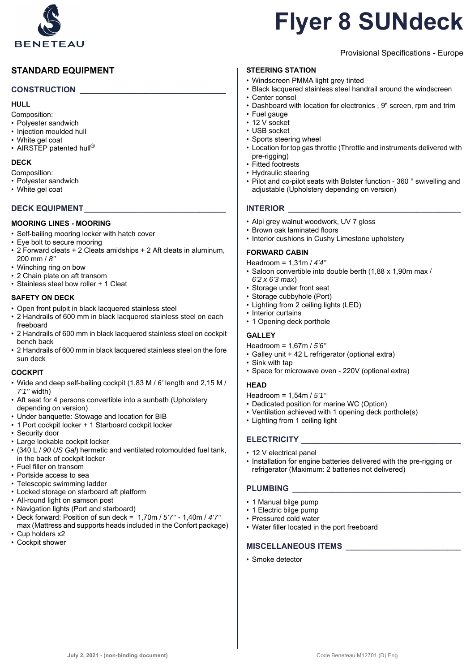

# **STANDARD EQUIPMENT**

### **CONSTRUCTION \_\_\_\_\_\_\_\_\_\_\_\_\_\_\_\_\_\_\_\_\_\_\_\_\_\_\_\_\_\_\_\_\_**

#### **HULL**

Composition:

- Polyester sandwich
- Injection moulded hull
- White gel coat
- AIRSTEP patented hull<sup>®</sup>

### **DECK**

Composition:

- Polyester sandwich
- White gel coat

### **DECK EQUIPMENT\_\_\_\_\_\_\_\_\_\_\_\_\_\_\_\_\_\_\_\_\_\_\_\_\_\_\_\_\_\_\_\_**

- **MOORING LINES MOORING**
- Self-bailing mooring locker with hatch cover
- Eye bolt to secure mooring
- 2 Forward cleats + 2 Cleats amidships + 2 Aft cleats in aluminum, 200 mm / *8''*
- Winching ring on bow
- 2 Chain plate on aft transom
- Stainless steel bow roller + 1 Cleat

### **SAFETY ON DECK**

- Open front pulpit in black lacquered stainless steel
- 2 Handrails of 600 mm in black lacquered stainless steel on each freeboard
- 2 Handrails of 600 mm in black lacquered stainless steel on cockpit bench back
- 2 Handrails of 600 mm in black lacquered stainless steel on the fore sun deck

### **COCKPIT**

- Wide and deep self-bailing cockpit (1,83 M / *6'* length and 2,15 M / *7'1''* width)
- Aft seat for 4 persons convertible into a sunbath (Upholstery depending on version)
- Under banquette: Stowage and location for BIB
- 1 Port cockpit locker + 1 Starboard cockpit locker
- Security door
- Large lockable cockpit locker
- (340 L / *90 US Gal*) hermetic and ventilated rotomoulded fuel tank, in the back of cockpit locker
- Fuel filler on transom
- Portside access to sea
- Telescopic swimming ladder
- Locked storage on starboard aft platform
- All-round light on samson post
- Navigation lights (Port and starboard)
- Deck forward: Position of sun deck = 1,70m / *5'7''* 1,40m / *4'7''*  max (Mattress and supports heads included in the Confort package) • Cup holders x2
- 
- Cockpit shower

# **Flyer 8 SUNdeck**

# Provisional Specifications - Europe

### **STEERING STATION**

- Windscreen PMMA light grey tinted
- Black lacquered stainless steel handrail around the windscreen
- Center consol
- Dashboard with location for electronics , 9" screen, rpm and trim
- Fuel gauge
- 12 V socket
- USB socket
- Sports steering wheel
- Location for top gas throttle (Throttle and instruments delivered with pre-rigging)
- Fitted footrests
- Hydraulic steering
- Pilot and co-pilot seats with Bolster function 360 ° swivelling and adjustable (Upholstery depending on version)

### **INTERIOR**

- Alpi grey walnut woodwork, UV 7 gloss
- Brown oak laminated floors
- Interior cushions in Cushy Limestone upholstery

### **FORWARD CABIN**

- Headroom = 1,31m / *4'4''*
- Saloon convertible into double berth (1,88 x 1,90m max / *6'2 x 6'3 max*)
- Storage under front seat
- Storage cubbyhole (Port)
- Lighting from 2 ceiling lights (LED)
- Interior curtains
- 1 Opening deck porthole

### **GALLEY**

- Headroom = 1,67m / *5'6''*
- Galley unit + 42 L refrigerator (optional extra)
- Sink with tap
- Space for microwave oven 220V (optional extra)
- **HEAD**

Headroom = 1,54m / *5'1''*

- Dedicated position for marine WC (Option)
- Ventilation achieved with 1 opening deck porthole(s)
- Lighting from 1 ceiling light

## **ELECTRICITY \_\_\_\_\_\_\_\_\_\_\_\_\_\_\_\_\_\_\_\_\_\_\_\_\_\_\_\_\_\_\_\_\_\_\_\_**

- 12 V electrical panel
- Installation for engine batteries delivered with the pre-rigging or refrigerator (Maximum: 2 batteries not delivered)

## PLUMBING

- 1 Manual bilge pump
- 1 Electric bilge pump
- Pressured cold water
- Water filler located in the port freeboard

### **MISCELLANEOUS ITEMS \_\_\_\_\_\_\_\_\_\_\_\_\_\_\_\_\_\_\_\_\_\_\_\_\_\_**

• Smoke detector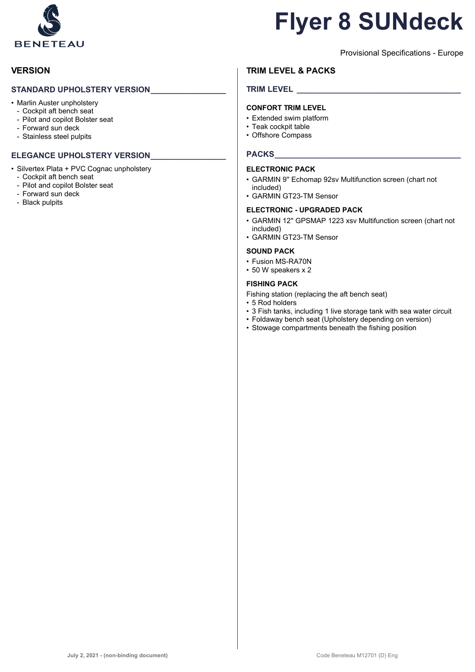

# **Flyer 8 SUNdeck**

Provisional Specifications - Europe

# **VERSION**

### **STANDARD UPHOLSTERY VERSION\_\_\_\_\_\_\_\_\_\_\_\_\_\_\_\_\_**

- Marlin Auster unpholstery
	- Cockpit aft bench seat
	- Pilot and copilot Bolster seat
	- Forward sun deck
	- Stainless steel pulpits

## **ELEGANCE UPHOLSTERY VERSION\_\_\_\_\_\_\_\_\_\_\_\_\_\_\_\_\_**

- Silvertex Plata + PVC Cognac unpholstery
	- Cockpit aft bench seat
	- Pilot and copilot Bolster seat
	- Forward sun deck
	- Black pulpits

# **TRIM LEVEL & PACKS**

# **TRIM LEVEL \_\_\_\_\_\_\_\_\_\_\_\_\_\_\_\_\_\_\_\_\_\_\_\_\_\_\_\_\_\_\_\_\_\_\_\_\_**

### **CONFORT TRIM LEVEL**

- Extended swim platform
- Teak cockpit table
- Offshore Compass

### PACKS

#### **ELECTRONIC PACK**

- GARMIN 9'' Echomap 92sv Multifunction screen (chart not included)
- GARMIN GT23-TM Sensor

#### **ELECTRONIC - UPGRADED PACK**

- GARMIN 12'' GPSMAP 1223 xsv Multifunction screen (chart not included)
- GARMIN GT23-TM Sensor

### **SOUND PACK**

- Fusion MS-RA70N
- 50 W speakers x 2

### **FISHING PACK**

- Fishing station (replacing the aft bench seat)
- 5 Rod holders
- 3 Fish tanks, including 1 live storage tank with sea water circuit
- Foldaway bench seat (Upholstery depending on version)
- Stowage compartments beneath the fishing position